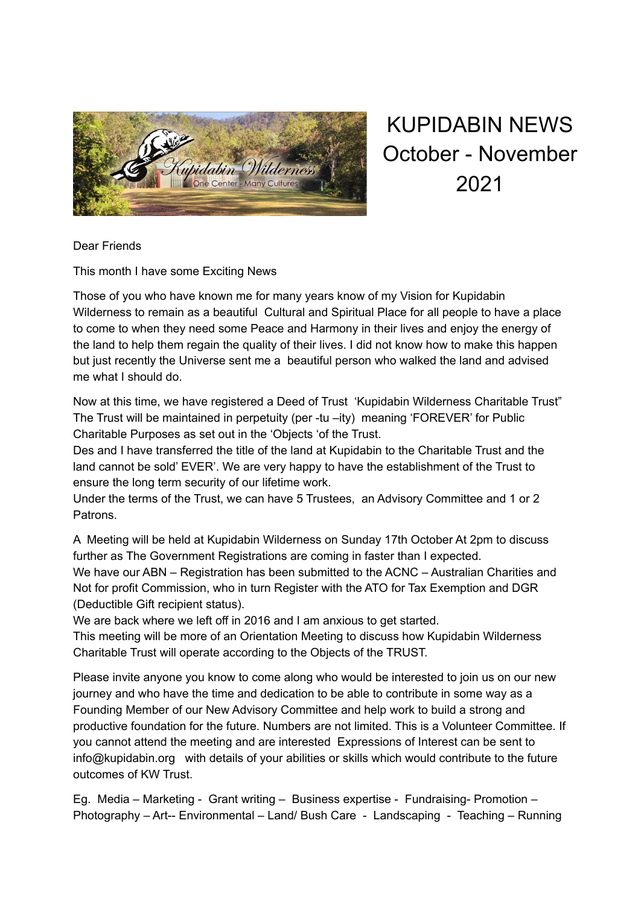

KUPIDABIN NEWS October - November 2021

Dear Friends

This month I have some Exciting News

Those of you who have known me for many years know of my Vision for Kupidabin Wilderness to remain as a beautiful Cultural and Spiritual Place for all people to have a place to come to when they need some Peace and Harmony in their lives and enjoy the energy of the land to help them regain the quality of their lives. I did not know how to make this happen but just recently the Universe sent me a beautiful person who walked the land and advised me what I should do.

Now at this time, we have registered a Deed of Trust 'Kupidabin Wilderness Charitable Trust" The Trust will be maintained in perpetuity (per -tu –ity) meaning 'FOREVER' for Public Charitable Purposes as set out in the 'Objects 'of the Trust.

Des and I have transferred the title of the land at Kupidabin to the Charitable Trust and the land cannot be sold' EVER'. We are very happy to have the establishment of the Trust to ensure the long term security of our lifetime work.

Under the terms of the Trust, we can have 5 Trustees, an Advisory Committee and 1 or 2 Patrons.

A Meeting will be held at Kupidabin Wilderness on Sunday 17th October At 2pm to discuss further as The Government Registrations are coming in faster than I expected. We have our ABN – Registration has been submitted to the ACNC – Australian Charities and Not for profit Commission, who in turn Register with the ATO for Tax Exemption and DGR (Deductible Gift recipient status).

We are back where we left off in 2016 and I am anxious to get started.

This meeting will be more of an Orientation Meeting to discuss how Kupidabin Wilderness Charitable Trust will operate according to the Objects of the TRUST.

Please invite anyone you know to come along who would be interested to join us on our new journey and who have the time and dedication to be able to contribute in some way as a Founding Member of our New Advisory Committee and help work to build a strong and productive foundation for the future. Numbers are not limited. This is a Volunteer Committee. If you cannot attend the meeting and are interested Expressions of Interest can be sent to info@kupidabin.org with details of your abilities or skills which would contribute to the future outcomes of KW Trust.

Eg. Media – Marketing - Grant writing – Business expertise - Fundraising- Promotion – Photography – Art-- Environmental – Land/ Bush Care - Landscaping - Teaching – Running